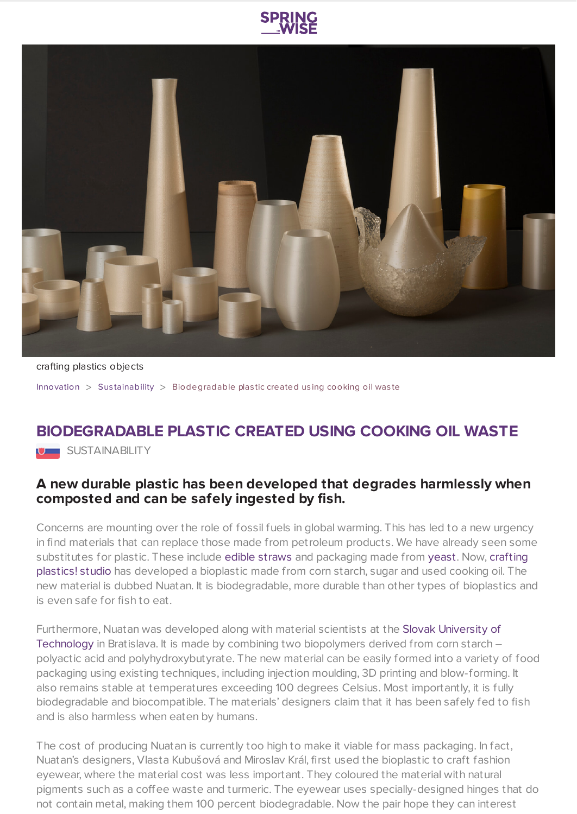



crafting plastics objects

[Innovation](https://www.springwise.com/search?type=innovation) > Sus [tainability](https://www.springwise.com/search?type=innovation§or=sustainability) > Biodegradable plas tic created us ing cooking oil was te

## **BIODEGRADABLE PLASTIC CREATED USING COOKING OIL WASTE**

U SUSTAINABILITY

## **A new durable plastic has been developed that degrades harmlessly when composted and can be safely ingested by fish.**

Concerns are mounting over the role of fossil fuels in global warming. This has led to a new urgency in find materials that can replace those made from petroleum products. We have already seen some [substitutes](https://www.craftingplastics.com/) for plastic. These include edible [straws](https://www.springwise.com/drinks-manufacturer-unveils-edible-flavored-straws/) and packaging made from [yeast](https://www.springwise.com/kombucha-is-being-used-to-create-edible-packaging/). Now, crafting plastics! studio has developed a bioplastic made from corn starch, sugar and used cooking oil. The new material is dubbed Nuatan. It is biodegradable, more durable than other types of bioplastics and is even safe for fish to eat.

[Furthermore,](https://www.stuba.sk/) Nuatan was developed along with material scientists at the Slovak University of Technology in Bratislava. It is made by combining two biopolymers derived from corn starch – polyactic acid and polyhydroxybutyrate. The new material can be easily formed into a variety of food packaging using existing techniques, including injection moulding, 3D printing and blow-forming. It also remains stable at temperatures exceeding 100 degrees Celsius. Most importantly, it is fully biodegradable and biocompatible. The materials' designers claim that it has been safely fed to fish and is also harmless when eaten by humans.

The cost of producing Nuatan is currently too high to make it viable for mass packaging. In fact, Nuatan's designers, Vlasta Kubušová and Miroslav Král, first used the bioplastic to craft fashion eyewear, where the material cost was less important. They coloured the material with natural pigments such as a coffee waste and turmeric. The eyewear uses specially-designed hinges that do not contain metal, making them 100 percent biodegradable. Now the pair hope they can interest